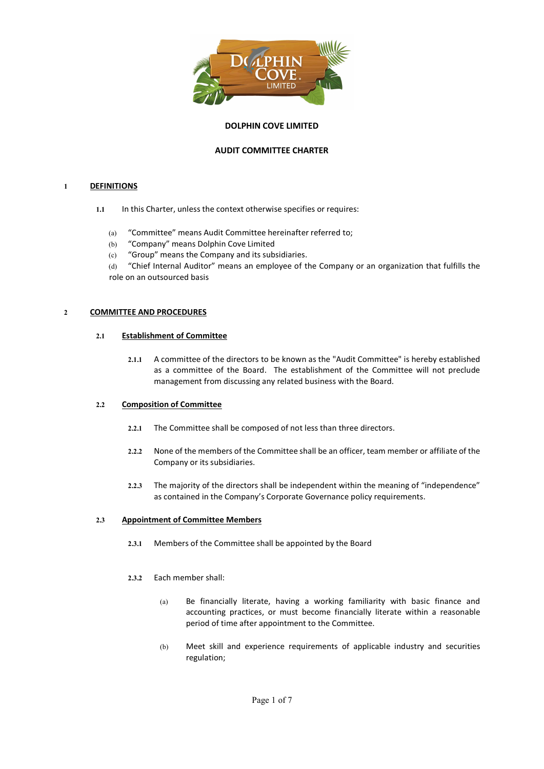

# DOLPHIN COVE LIMITED

## AUDIT COMMITTEE CHARTER

## 1 DEFINITIONS

- 1.1 In this Charter, unless the context otherwise specifies or requires:
	- (a) "Committee" means Audit Committee hereinafter referred to;
	- (b) "Company" means Dolphin Cove Limited
	- (c) "Group" means the Company and its subsidiaries.
	- (d) "Chief Internal Auditor" means an employee of the Company or an organization that fulfills the role on an outsourced basis

## 2 COMMITTEE AND PROCEDURES

## 2.1 Establishment of Committee

2.1.1 A committee of the directors to be known as the "Audit Committee" is hereby established as a committee of the Board. The establishment of the Committee will not preclude management from discussing any related business with the Board.

## 2.2 Composition of Committee

- 2.2.1 The Committee shall be composed of not less than three directors.
- 2.2.2 None of the members of the Committee shall be an officer, team member or affiliate of the Company or its subsidiaries.
- 2.2.3 The majority of the directors shall be independent within the meaning of "independence" as contained in the Company's Corporate Governance policy requirements.

## 2.3 Appointment of Committee Members

- 2.3.1 Members of the Committee shall be appointed by the Board
- 2.3.2 Each member shall:
	- (a) Be financially literate, having a working familiarity with basic finance and accounting practices, or must become financially literate within a reasonable period of time after appointment to the Committee.
	- (b) Meet skill and experience requirements of applicable industry and securities regulation;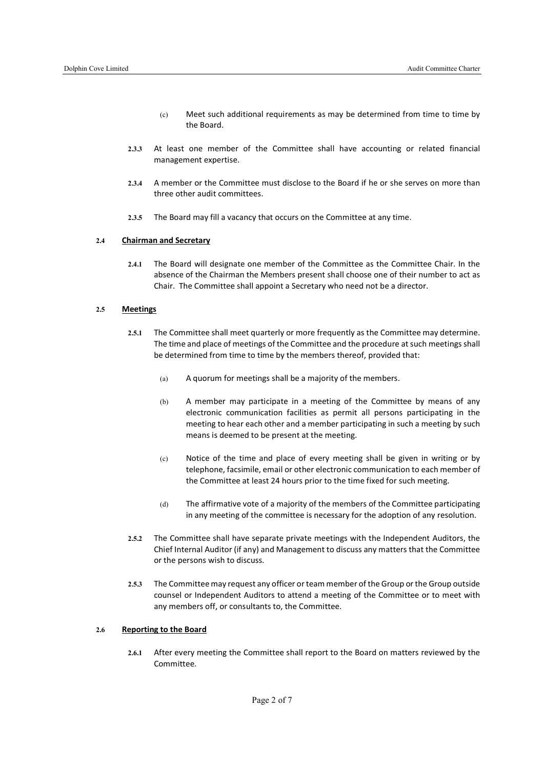- (c) Meet such additional requirements as may be determined from time to time by the Board.
- 2.3.3 At least one member of the Committee shall have accounting or related financial management expertise.
- 2.3.4 A member or the Committee must disclose to the Board if he or she serves on more than three other audit committees.
- 2.3.5 The Board may fill a vacancy that occurs on the Committee at any time.

### 2.4 Chairman and Secretary

2.4.1 The Board will designate one member of the Committee as the Committee Chair. In the absence of the Chairman the Members present shall choose one of their number to act as Chair. The Committee shall appoint a Secretary who need not be a director.

#### 2.5 Meetings

- 2.5.1 The Committee shall meet quarterly or more frequently as the Committee may determine. The time and place of meetings of the Committee and the procedure at such meetings shall be determined from time to time by the members thereof, provided that:
	- (a) A quorum for meetings shall be a majority of the members.
	- (b) A member may participate in a meeting of the Committee by means of any electronic communication facilities as permit all persons participating in the meeting to hear each other and a member participating in such a meeting by such means is deemed to be present at the meeting.
	- (c) Notice of the time and place of every meeting shall be given in writing or by telephone, facsimile, email or other electronic communication to each member of the Committee at least 24 hours prior to the time fixed for such meeting.
	- (d) The affirmative vote of a majority of the members of the Committee participating in any meeting of the committee is necessary for the adoption of any resolution.
- 2.5.2 The Committee shall have separate private meetings with the Independent Auditors, the Chief Internal Auditor (if any) and Management to discuss any matters that the Committee or the persons wish to discuss.
- 2.5.3 The Committee may request any officer or team member of the Group or the Group outside counsel or Independent Auditors to attend a meeting of the Committee or to meet with any members off, or consultants to, the Committee.

#### 2.6 Reporting to the Board

2.6.1 After every meeting the Committee shall report to the Board on matters reviewed by the Committee.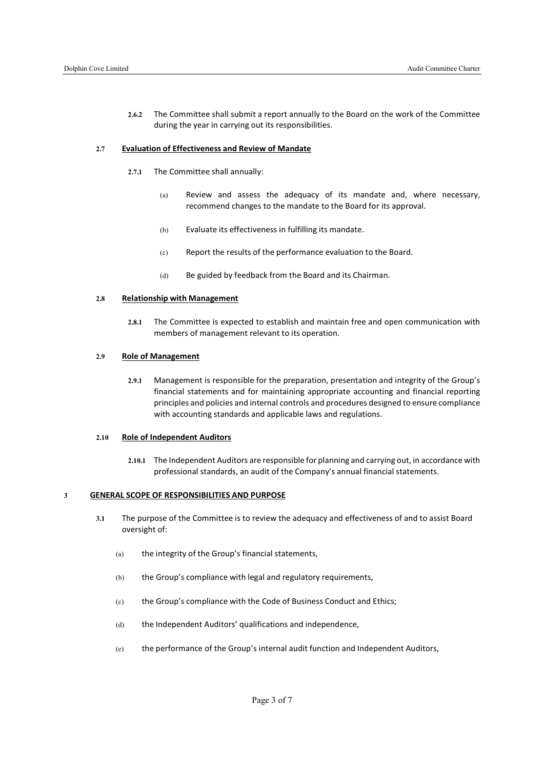2.6.2 The Committee shall submit a report annually to the Board on the work of the Committee during the year in carrying out its responsibilities.

### 2.7 Evaluation of Effectiveness and Review of Mandate

- 2.7.1 The Committee shall annually:
	- (a) Review and assess the adequacy of its mandate and, where necessary, recommend changes to the mandate to the Board for its approval.
	- (b) Evaluate its effectiveness in fulfilling its mandate.
	- (c) Report the results of the performance evaluation to the Board.
	- (d) Be guided by feedback from the Board and its Chairman.

#### 2.8 Relationship with Management

2.8.1 The Committee is expected to establish and maintain free and open communication with members of management relevant to its operation.

### 2.9 Role of Management

2.9.1 Management is responsible for the preparation, presentation and integrity of the Group's financial statements and for maintaining appropriate accounting and financial reporting principles and policies and internal controls and procedures designed to ensure compliance with accounting standards and applicable laws and regulations.

#### 2.10 Role of Independent Auditors

2.10.1 The Independent Auditors are responsible for planning and carrying out, in accordance with professional standards, an audit of the Company's annual financial statements.

### 3 GENERAL SCOPE OF RESPONSIBILITIES AND PURPOSE

- 3.1 The purpose of the Committee is to review the adequacy and effectiveness of and to assist Board oversight of:
	- (a) the integrity of the Group's financial statements,
	- (b) the Group's compliance with legal and regulatory requirements,
	- (c) the Group's compliance with the Code of Business Conduct and Ethics;
	- (d) the Independent Auditors' qualifications and independence,
	- (e) the performance of the Group's internal audit function and Independent Auditors,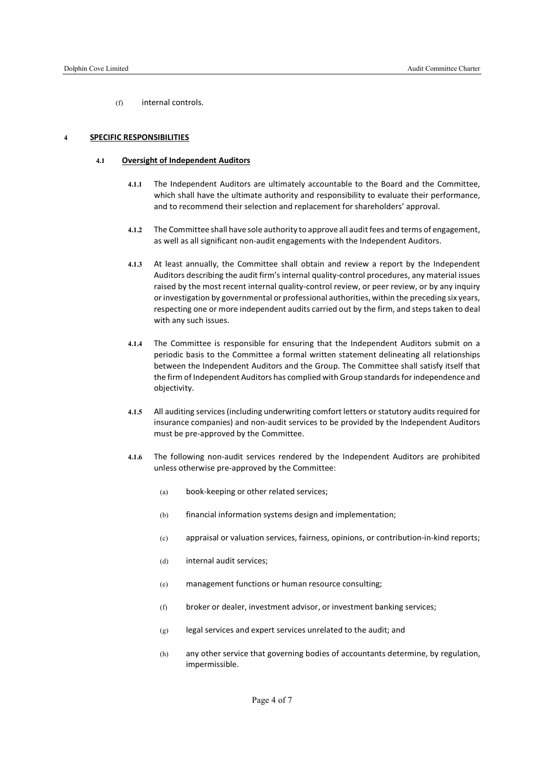(f) internal controls.

#### 4 SPECIFIC RESPONSIBILITIES

#### 4.1 Oversight of Independent Auditors

- 4.1.1 The Independent Auditors are ultimately accountable to the Board and the Committee, which shall have the ultimate authority and responsibility to evaluate their performance, and to recommend their selection and replacement for shareholders' approval.
- 4.1.2 The Committee shall have sole authority to approve all audit fees and terms of engagement, as well as all significant non-audit engagements with the Independent Auditors.
- 4.1.3 At least annually, the Committee shall obtain and review a report by the Independent Auditors describing the audit firm's internal quality-control procedures, any material issues raised by the most recent internal quality-control review, or peer review, or by any inquiry or investigation by governmental or professional authorities, within the preceding six years, respecting one or more independent audits carried out by the firm, and steps taken to deal with any such issues.
- 4.1.4 The Committee is responsible for ensuring that the Independent Auditors submit on a periodic basis to the Committee a formal written statement delineating all relationships between the Independent Auditors and the Group. The Committee shall satisfy itself that the firm of Independent Auditors has complied with Group standards for independence and objectivity.
- 4.1.5 All auditing services (including underwriting comfort letters or statutory audits required for insurance companies) and non-audit services to be provided by the Independent Auditors must be pre-approved by the Committee.
- 4.1.6 The following non-audit services rendered by the Independent Auditors are prohibited unless otherwise pre-approved by the Committee:
	- (a) book-keeping or other related services;
	- (b) financial information systems design and implementation;
	- (c) appraisal or valuation services, fairness, opinions, or contribution-in-kind reports;
	- (d) internal audit services;
	- (e) management functions or human resource consulting;
	- (f) broker or dealer, investment advisor, or investment banking services;
	- (g) legal services and expert services unrelated to the audit; and
	- (h) any other service that governing bodies of accountants determine, by regulation, impermissible.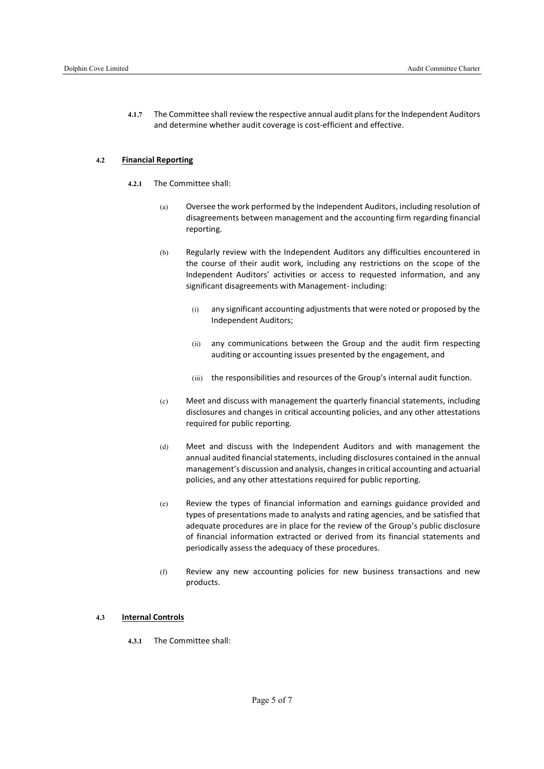4.1.7 The Committee shall review the respective annual audit plans for the Independent Auditors and determine whether audit coverage is cost-efficient and effective.

### 4.2 Financial Reporting

- 4.2.1 The Committee shall:
	- (a) Oversee the work performed by the Independent Auditors, including resolution of disagreements between management and the accounting firm regarding financial reporting.
	- (b) Regularly review with the Independent Auditors any difficulties encountered in the course of their audit work, including any restrictions on the scope of the Independent Auditors' activities or access to requested information, and any significant disagreements with Management- including:
		- (i) any significant accounting adjustments that were noted or proposed by the Independent Auditors;
		- (ii) any communications between the Group and the audit firm respecting auditing or accounting issues presented by the engagement, and
		- (iii) the responsibilities and resources of the Group's internal audit function.
	- (c) Meet and discuss with management the quarterly financial statements, including disclosures and changes in critical accounting policies, and any other attestations required for public reporting.
	- (d) Meet and discuss with the Independent Auditors and with management the annual audited financial statements, including disclosures contained in the annual management's discussion and analysis, changes in critical accounting and actuarial policies, and any other attestations required for public reporting.
	- (e) Review the types of financial information and earnings guidance provided and types of presentations made to analysts and rating agencies, and be satisfied that adequate procedures are in place for the review of the Group's public disclosure of financial information extracted or derived from its financial statements and periodically assess the adequacy of these procedures.
	- (f) Review any new accounting policies for new business transactions and new products.

### 4.3 Internal Controls

4.3.1 The Committee shall: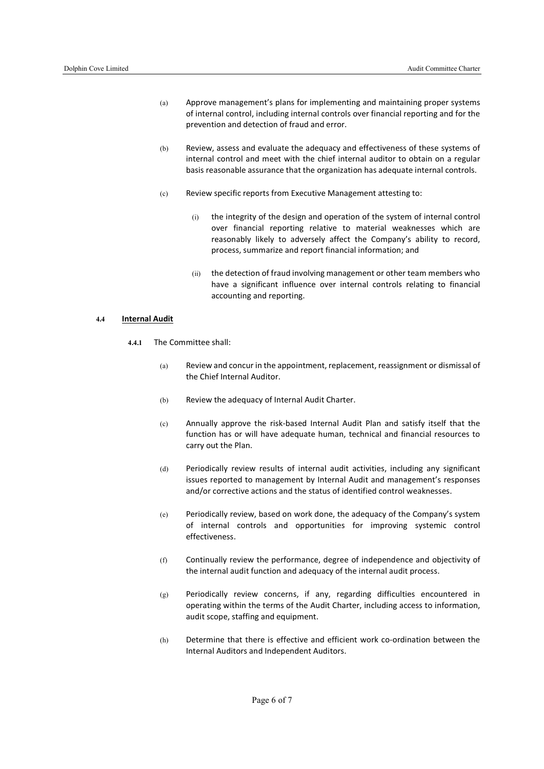- (a) Approve management's plans for implementing and maintaining proper systems of internal control, including internal controls over financial reporting and for the prevention and detection of fraud and error.
- (b) Review, assess and evaluate the adequacy and effectiveness of these systems of internal control and meet with the chief internal auditor to obtain on a regular basis reasonable assurance that the organization has adequate internal controls.
- (c) Review specific reports from Executive Management attesting to:
	- (i) the integrity of the design and operation of the system of internal control over financial reporting relative to material weaknesses which are reasonably likely to adversely affect the Company's ability to record, process, summarize and report financial information; and
	- (ii) the detection of fraud involving management or other team members who have a significant influence over internal controls relating to financial accounting and reporting.

#### 4.4 Internal Audit

- 4.4.1 The Committee shall:
	- (a) Review and concur in the appointment, replacement, reassignment or dismissal of the Chief Internal Auditor.
	- (b) Review the adequacy of Internal Audit Charter.
	- (c) Annually approve the risk-based Internal Audit Plan and satisfy itself that the function has or will have adequate human, technical and financial resources to carry out the Plan.
	- (d) Periodically review results of internal audit activities, including any significant issues reported to management by Internal Audit and management's responses and/or corrective actions and the status of identified control weaknesses.
	- (e) Periodically review, based on work done, the adequacy of the Company's system of internal controls and opportunities for improving systemic control effectiveness.
	- (f) Continually review the performance, degree of independence and objectivity of the internal audit function and adequacy of the internal audit process.
	- (g) Periodically review concerns, if any, regarding difficulties encountered in operating within the terms of the Audit Charter, including access to information, audit scope, staffing and equipment.
	- (h) Determine that there is effective and efficient work co-ordination between the Internal Auditors and Independent Auditors.